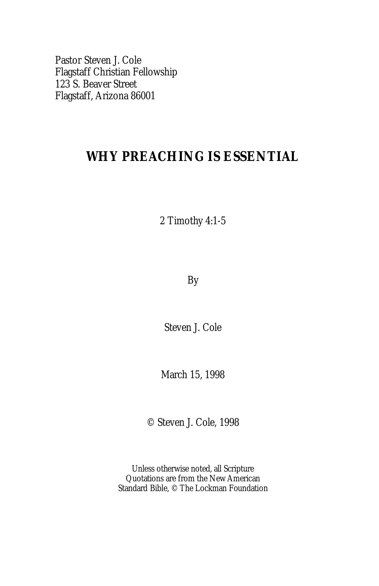Pastor Steven J. Cole Flagstaff Christian Fellowship 123 S. Beaver Street Flagstaff, Arizona 86001

# **WHY PREACHING IS ESSENTIAL**

## 2 Timothy 4:1-5

By

Steven J. Cole

March 15, 1998

© Steven J. Cole, 1998

Unless otherwise noted, all Scripture Quotations are from the New American Standard Bible, © The Lockman Foundation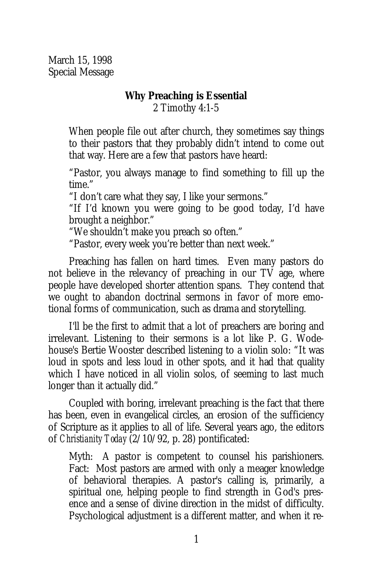March 15, 1998 Special Message

#### **Why Preaching is Essential** 2 Timothy 4:1-5

When people file out after church, they sometimes say things to their pastors that they probably didn't intend to come out that way. Here are a few that pastors have heard:

"Pastor, you always manage to find something to fill up the time."

"I don't care what they say, I like your sermons."

"If I'd known you were going to be good today, I'd have brought a neighbor."

"We shouldn't make you preach so often."

"Pastor, every week you're better than next week."

Preaching has fallen on hard times. Even many pastors do not believe in the relevancy of preaching in our TV age, where people have developed shorter attention spans. They contend that we ought to abandon doctrinal sermons in favor of more emotional forms of communication, such as drama and storytelling.

I'll be the first to admit that a lot of preachers are boring and irrelevant. Listening to their sermons is a lot like P. G. Wodehouse's Bertie Wooster described listening to a violin solo: "It was loud in spots and less loud in other spots, and it had that quality which I have noticed in all violin solos, of seeming to last much longer than it actually did."

Coupled with boring, irrelevant preaching is the fact that there has been, even in evangelical circles, an erosion of the sufficiency of Scripture as it applies to all of life. Several years ago, the editors of *Christianity Today* (2/10/92, p. 28) pontificated:

Myth: A pastor is competent to counsel his parishioners. Fact: Most pastors are armed with only a meager knowledge of behavioral therapies. A pastor's calling is, primarily, a spiritual one, helping people to find strength in God's presence and a sense of divine direction in the midst of difficulty. Psychological adjustment is a different matter, and when it re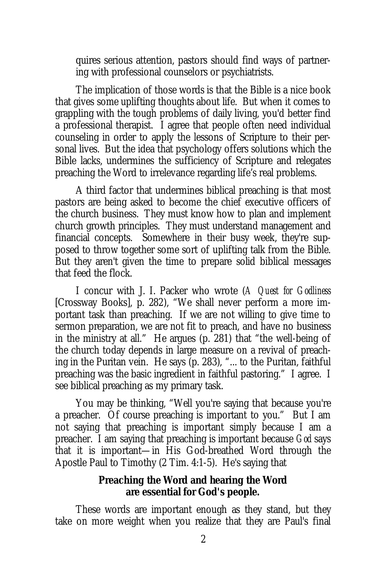quires serious attention, pastors should find ways of partnering with professional counselors or psychiatrists.

The implication of those words is that the Bible is a nice book that gives some uplifting thoughts about life. But when it comes to grappling with the tough problems of daily living, you'd better find a professional therapist. I agree that people often need individual counseling in order to apply the lessons of Scripture to their personal lives. But the idea that psychology offers solutions which the Bible lacks, undermines the sufficiency of Scripture and relegates preaching the Word to irrelevance regarding life's real problems.

A third factor that undermines biblical preaching is that most pastors are being asked to become the chief executive officers of the church business. They must know how to plan and implement church growth principles. They must understand management and financial concepts. Somewhere in their busy week, they're supposed to throw together some sort of uplifting talk from the Bible. But they aren't given the time to prepare solid biblical messages that feed the flock.

I concur with J. I. Packer who wrote (*A Quest for Godliness* [Crossway Books], p. 282), "We shall never perform a more important task than preaching. If we are not willing to give time to sermon preparation, we are not fit to preach, and have no business in the ministry at all." He argues (p. 281) that "the well-being of the church today depends in large measure on a revival of preaching in the Puritan vein. He says (p. 283), "... to the Puritan, faithful preaching was the basic ingredient in faithful pastoring." I agree. I see biblical preaching as my primary task.

You may be thinking, "Well you're saying that because you're a preacher. Of course preaching is important to you." But I am not saying that preaching is important simply because I am a preacher. I am saying that preaching is important because *God* says that it is important—in His God-breathed Word through the Apostle Paul to Timothy (2 Tim. 4:1-5). He's saying that

> **Preaching the Word and hearing the Word are essential for God's people.**

These words are important enough as they stand, but they take on more weight when you realize that they are Paul's final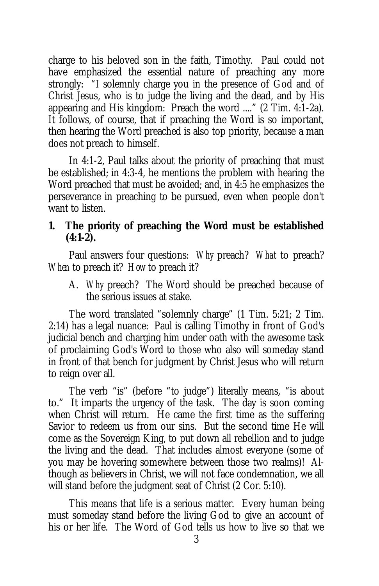charge to his beloved son in the faith, Timothy. Paul could not have emphasized the essential nature of preaching any more strongly: "I solemnly charge you in the presence of God and of Christ Jesus, who is to judge the living and the dead, and by His appearing and His kingdom: Preach the word ...." (2 Tim. 4:1-2a). It follows, of course, that if preaching the Word is so important, then hearing the Word preached is also top priority, because a man does not preach to himself.

In 4:1-2, Paul talks about the priority of preaching that must be established; in 4:3-4, he mentions the problem with hearing the Word preached that must be avoided; and, in 4:5 he emphasizes the perseverance in preaching to be pursued, even when people don't want to listen.

**1. The priority of preaching the Word must be established (4:1-2).**

Paul answers four questions: *Why* preach? *What* to preach? *When* to preach it? *How* to preach it?

A. *Why* preach? The Word should be preached because of the serious issues at stake.

The word translated "solemnly charge" (1 Tim. 5:21; 2 Tim. 2:14) has a legal nuance: Paul is calling Timothy in front of God's judicial bench and charging him under oath with the awesome task of proclaiming God's Word to those who also will someday stand in front of that bench for judgment by Christ Jesus who will return to reign over all.

The verb "is" (before "to judge") literally means, "is about to." It imparts the urgency of the task. The day is soon coming when Christ will return. He came the first time as the suffering Savior to redeem us from our sins. But the second time He will come as the Sovereign King, to put down all rebellion and to judge the living and the dead. That includes almost everyone (some of you may be hovering somewhere between those two realms)! Although as believers in Christ, we will not face condemnation, we all will stand before the judgment seat of Christ (2 Cor. 5:10).

This means that life is a serious matter. Every human being must someday stand before the living God to give an account of his or her life. The Word of God tells us how to live so that we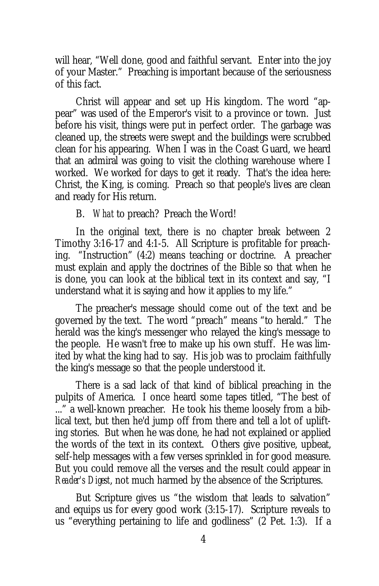will hear, "Well done, good and faithful servant. Enter into the joy of your Master." Preaching is important because of the seriousness of this fact.

Christ will appear and set up His kingdom. The word "appear" was used of the Emperor's visit to a province or town. Just before his visit, things were put in perfect order. The garbage was cleaned up, the streets were swept and the buildings were scrubbed clean for his appearing. When I was in the Coast Guard, we heard that an admiral was going to visit the clothing warehouse where I worked. We worked for days to get it ready. That's the idea here: Christ, the King, is coming. Preach so that people's lives are clean and ready for His return.

#### B. *What* to preach? Preach the Word!

In the original text, there is no chapter break between 2 Timothy 3:16-17 and 4:1-5. All Scripture is profitable for preaching. "Instruction" (4:2) means teaching or doctrine. A preacher must explain and apply the doctrines of the Bible so that when he is done, you can look at the biblical text in its context and say, "I understand what it is saying and how it applies to my life."

The preacher's message should come out of the text and be governed by the text. The word "preach" means "to herald." The herald was the king's messenger who relayed the king's message to the people. He wasn't free to make up his own stuff. He was limited by what the king had to say. His job was to proclaim faithfully the king's message so that the people understood it.

There is a sad lack of that kind of biblical preaching in the pulpits of America. I once heard some tapes titled, "The best of ..." a well-known preacher. He took his theme loosely from a biblical text, but then he'd jump off from there and tell a lot of uplifting stories. But when he was done, he had not explained or applied the words of the text in its context. Others give positive, upbeat, self-help messages with a few verses sprinkled in for good measure. But you could remove all the verses and the result could appear in *Reader's Digest*, not much harmed by the absence of the Scriptures.

But Scripture gives us "the wisdom that leads to salvation" and equips us for every good work (3:15-17). Scripture reveals to us "everything pertaining to life and godliness" (2 Pet. 1:3). If a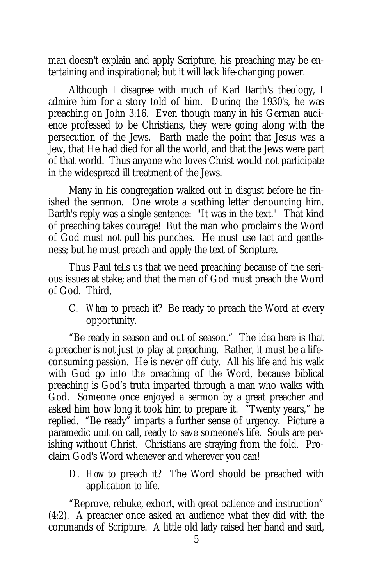man doesn't explain and apply Scripture, his preaching may be entertaining and inspirational; but it will lack life-changing power.

Although I disagree with much of Karl Barth's theology, I admire him for a story told of him. During the 1930's, he was preaching on John 3:16. Even though many in his German audience professed to be Christians, they were going along with the persecution of the Jews. Barth made the point that Jesus was a Jew, that He had died for all the world, and that the Jews were part of that world. Thus anyone who loves Christ would not participate in the widespread ill treatment of the Jews.

Many in his congregation walked out in disgust before he finished the sermon. One wrote a scathing letter denouncing him. Barth's reply was a single sentence: "It was in the text." That kind of preaching takes courage! But the man who proclaims the Word of God must not pull his punches. He must use tact and gentleness; but he must preach and apply the text of Scripture.

Thus Paul tells us that we need preaching because of the serious issues at stake; and that the man of God must preach the Word of God. Third,

C. *When* to preach it? Be ready to preach the Word at every opportunity.

"Be ready in season and out of season." The idea here is that a preacher is not just to play at preaching. Rather, it must be a lifeconsuming passion. He is never off duty. All his life and his walk with God go into the preaching of the Word, because biblical preaching is God's truth imparted through a man who walks with God. Someone once enjoyed a sermon by a great preacher and asked him how long it took him to prepare it. "Twenty years," he replied. "Be ready" imparts a further sense of urgency. Picture a paramedic unit on call, ready to save someone's life. Souls are perishing without Christ. Christians are straying from the fold. Proclaim God's Word whenever and wherever you can!

D. *How* to preach it? The Word should be preached with application to life.

"Reprove, rebuke, exhort, with great patience and instruction" (4:2). A preacher once asked an audience what they did with the commands of Scripture. A little old lady raised her hand and said,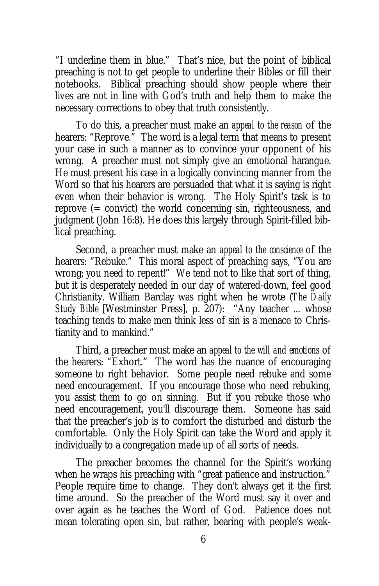"I underline them in blue." That's nice, but the point of biblical preaching is not to get people to underline their Bibles or fill their notebooks. Biblical preaching should show people where their lives are not in line with God's truth and help them to make the necessary corrections to obey that truth consistently.

To do this, a preacher must make an *appeal to the reason* of the hearers: "Reprove." The word is a legal term that means to present your case in such a manner as to convince your opponent of his wrong. A preacher must not simply give an emotional harangue. He must present his case in a logically convincing manner from the Word so that his hearers are persuaded that what it is saying is right even when their behavior is wrong. The Holy Spirit's task is to reprove (= convict) the world concerning sin, righteousness, and judgment (John 16:8). He does this largely through Spirit-filled biblical preaching.

Second, a preacher must make an *appeal to the conscience* of the hearers: "Rebuke." This moral aspect of preaching says, "You are wrong; you need to repent!" We tend not to like that sort of thing, but it is desperately needed in our day of watered-down, feel good Christianity. William Barclay was right when he wrote (*The Daily Study Bible* [Westminster Press], p. 207): "Any teacher ... whose teaching tends to make men think less of sin is a menace to Christianity and to mankind."

Third, a preacher must make an *appeal to the will and emotions* of the hearers: "Exhort." The word has the nuance of encouraging someone to right behavior. Some people need rebuke and some need encouragement. If you encourage those who need rebuking, you assist them to go on sinning. But if you rebuke those who need encouragement, you'll discourage them. Someone has said that the preacher's job is to comfort the disturbed and disturb the comfortable. Only the Holy Spirit can take the Word and apply it individually to a congregation made up of all sorts of needs.

The preacher becomes the channel for the Spirit's working when he wraps his preaching with "great patience and instruction." People require time to change. They don't always get it the first time around. So the preacher of the Word must say it over and over again as he teaches the Word of God. Patience does not mean tolerating open sin, but rather, bearing with people's weak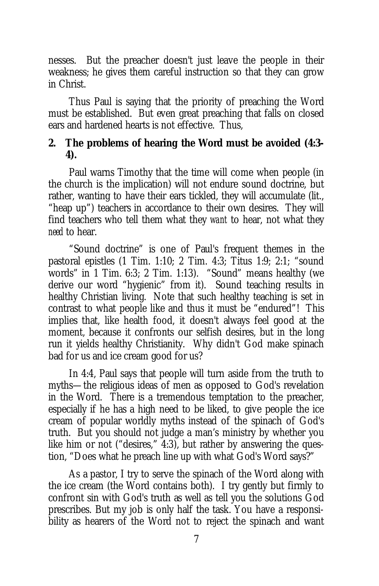nesses. But the preacher doesn't just leave the people in their weakness; he gives them careful instruction so that they can grow in Christ.

Thus Paul is saying that the priority of preaching the Word must be established. But even great preaching that falls on closed ears and hardened hearts is not effective. Thus,

**2. The problems of hearing the Word must be avoided (4:3- 4).**

Paul warns Timothy that the time will come when people (in the church is the implication) will not endure sound doctrine, but rather, wanting to have their ears tickled, they will accumulate (lit., "heap up") teachers in accordance to their own desires. They will find teachers who tell them what they *want* to hear, not what they *need* to hear.

"Sound doctrine" is one of Paul's frequent themes in the pastoral epistles (1 Tim. 1:10; 2 Tim. 4:3; Titus 1:9; 2:1; "sound words" in 1 Tim. 6:3; 2 Tim. 1:13). "Sound" means healthy (we derive our word "hygienic" from it). Sound teaching results in healthy Christian living. Note that such healthy teaching is set in contrast to what people like and thus it must be "endured"! This implies that, like health food, it doesn't always feel good at the moment, because it confronts our selfish desires, but in the long run it yields healthy Christianity. Why didn't God make spinach bad for us and ice cream good for us?

In 4:4, Paul says that people will turn aside from the truth to myths—the religious ideas of men as opposed to God's revelation in the Word. There is a tremendous temptation to the preacher, especially if he has a high need to be liked, to give people the ice cream of popular worldly myths instead of the spinach of God's truth. But you should not judge a man's ministry by whether you like him or not ("desires," 4:3), but rather by answering the question, "Does what he preach line up with what God's Word says?"

As a pastor, I try to serve the spinach of the Word along with the ice cream (the Word contains both). I try gently but firmly to confront sin with God's truth as well as tell you the solutions God prescribes. But my job is only half the task. You have a responsibility as hearers of the Word not to reject the spinach and want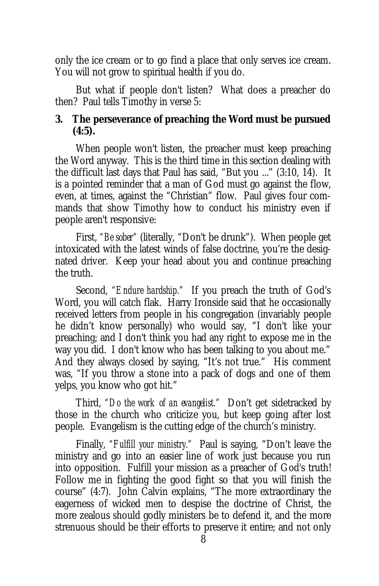only the ice cream or to go find a place that only serves ice cream. You will not grow to spiritual health if you do.

But what if people don't listen? What does a preacher do then? Paul tells Timothy in verse 5:

**3. The perseverance of preaching the Word must be pursued (4:5).**

When people won't listen, the preacher must keep preaching the Word anyway. This is the third time in this section dealing with the difficult last days that Paul has said, "But you ..." (3:10, 14). It is a pointed reminder that a man of God must go against the flow, even, at times, against the "Christian" flow. Paul gives four commands that show Timothy how to conduct his ministry even if people aren't responsive:

First, *"Be sober"* (literally, "Don't be drunk"). When people get intoxicated with the latest winds of false doctrine, you're the designated driver. Keep your head about you and continue preaching the truth.

Second, *"Endure hardship."* If you preach the truth of God's Word, you will catch flak. Harry Ironside said that he occasionally received letters from people in his congregation (invariably people he didn't know personally) who would say, "I don't like your preaching; and I don't think you had any right to expose me in the way you did. I don't know who has been talking to you about me." And they always closed by saying, "It's not true." His comment was, "If you throw a stone into a pack of dogs and one of them yelps, you know who got hit."

Third, *"Do the work of an evangelist."* Don't get sidetracked by those in the church who criticize you, but keep going after lost people. Evangelism is the cutting edge of the church's ministry.

Finally, *"Fulfill your ministry."* Paul is saying, "Don't leave the ministry and go into an easier line of work just because you run into opposition. Fulfill your mission as a preacher of God's truth! Follow me in fighting the good fight so that you will finish the course" (4:7). John Calvin explains, "The more extraordinary the eagerness of wicked men to despise the doctrine of Christ, the more zealous should godly ministers be to defend it, and the more strenuous should be their efforts to preserve it entire; and not only